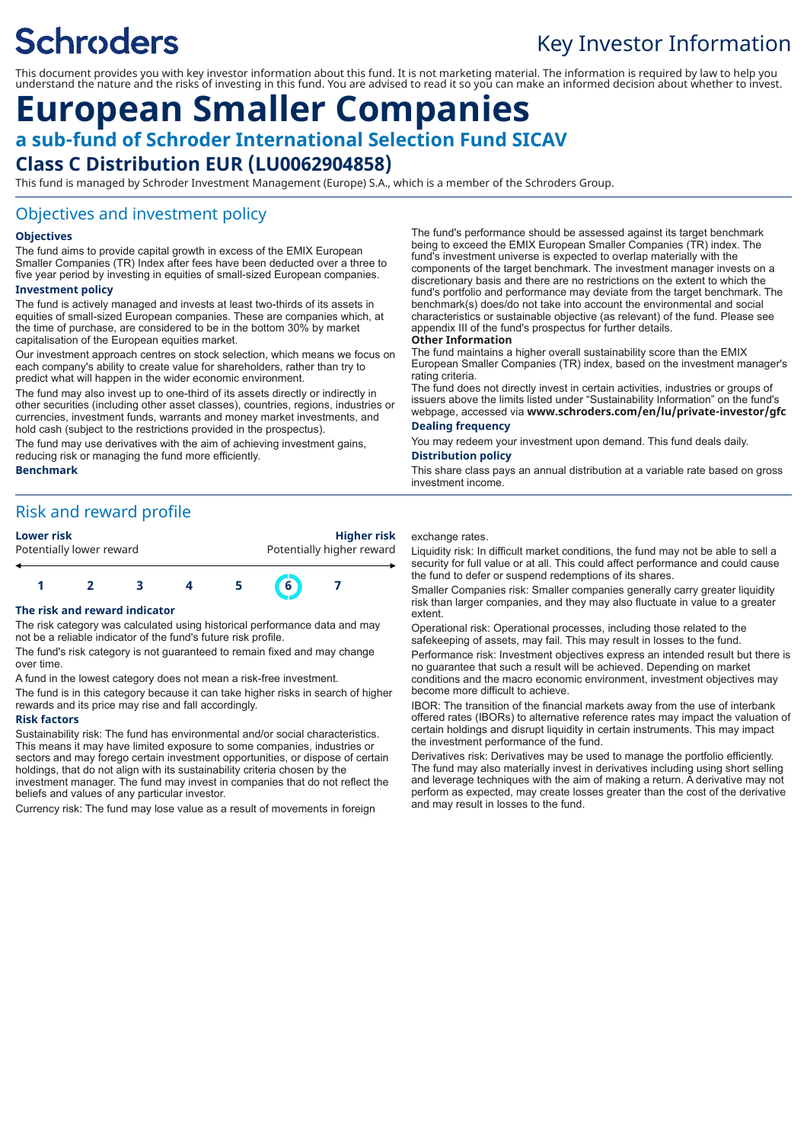# **Schroders**

## Key Investor Information

This document provides you with key investor information about this fund. It is not marketing material. The information is required by law to help you understand the nature and the risks of investing in this fund. You are advised to read it so you can make an informed decision about whether to invest.

## **European Smaller Companies a sub-fund of Schroder International Selection Fund SICAV**

### **Class C Distribution EUR (LU0062904858)**

This fund is managed by Schroder Investment Management (Europe) S.A., which is a member of the Schroders Group.

#### Objectives and investment policy

#### **Objectives**

The fund aims to provide capital growth in excess of the EMIX European Smaller Companies (TR) Index after fees have been deducted over a three to five year period by investing in equities of small-sized European companies.

#### **Investment policy**

The fund is actively managed and invests at least two-thirds of its assets in equities of small-sized European companies. These are companies which, at the time of purchase, are considered to be in the bottom 30% by market capitalisation of the European equities market.

Our investment approach centres on stock selection, which means we focus on each company's ability to create value for shareholders, rather than try to predict what will happen in the wider economic environment.

The fund may also invest up to one-third of its assets directly or indirectly in other securities (including other asset classes), countries, regions, industries or currencies, investment funds, warrants and money market investments, and hold cash (subject to the restrictions provided in the prospectus).

The fund may use derivatives with the aim of achieving investment gains, reducing risk or managing the fund more efficiently.

#### **Benchmark**

### Risk and reward profile

**Lower risk Higher risk**

Potentially lower reward **Potentially higher reward** 



#### **The risk and reward indicator**

The risk category was calculated using historical performance data and may not be a reliable indicator of the fund's future risk profile.

The fund's risk category is not guaranteed to remain fixed and may change over time.

A fund in the lowest category does not mean a risk-free investment.

The fund is in this category because it can take higher risks in search of higher rewards and its price may rise and fall accordingly.

#### **Risk factors**

Sustainability risk: The fund has environmental and/or social characteristics. This means it may have limited exposure to some companies, industries or sectors and may forego certain investment opportunities, or dispose of certain holdings, that do not align with its sustainability criteria chosen by the investment manager. The fund may invest in companies that do not reflect the beliefs and values of any particular investor.

Currency risk: The fund may lose value as a result of movements in foreign

The fund's performance should be assessed against its target benchmark being to exceed the EMIX European Smaller Companies (TR) index. The fund's investment universe is expected to overlap materially with the components of the target benchmark. The investment manager invests on a discretionary basis and there are no restrictions on the extent to which the fund's portfolio and performance may deviate from the target benchmark. The benchmark(s) does/do not take into account the environmental and social characteristics or sustainable objective (as relevant) of the fund. Please see appendix III of the fund's prospectus for further details.

#### **Other Information**

The fund maintains a higher overall sustainability score than the EMIX European Smaller Companies (TR) index, based on the investment manager's rating criteria.

The fund does not directly invest in certain activities, industries or groups of issuers above the limits listed under "Sustainability Information" on the fund's webpage, accessed via **www.schroders.com/en/lu/private-investor/gfc Dealing frequency**

You may redeem your investment upon demand. This fund deals daily. **Distribution policy**

This share class pays an annual distribution at a variable rate based on gross investment income.

#### exchange rates.

Liquidity risk: In difficult market conditions, the fund may not be able to sell a security for full value or at all. This could affect performance and could cause the fund to defer or suspend redemptions of its shares.

Smaller Companies risk: Smaller companies generally carry greater liquidity risk than larger companies, and they may also fluctuate in value to a greater extent.

Operational risk: Operational processes, including those related to the safekeeping of assets, may fail. This may result in losses to the fund.

Performance risk: Investment objectives express an intended result but there is no guarantee that such a result will be achieved. Depending on market conditions and the macro economic environment, investment objectives may become more difficult to achieve.

IBOR: The transition of the financial markets away from the use of interbank offered rates (IBORs) to alternative reference rates may impact the valuation of certain holdings and disrupt liquidity in certain instruments. This may impact the investment performance of the fund.

Derivatives risk: Derivatives may be used to manage the portfolio efficiently. The fund may also materially invest in derivatives including using short selling and leverage techniques with the aim of making a return. A derivative may not perform as expected, may create losses greater than the cost of the derivative and may result in losses to the fund.